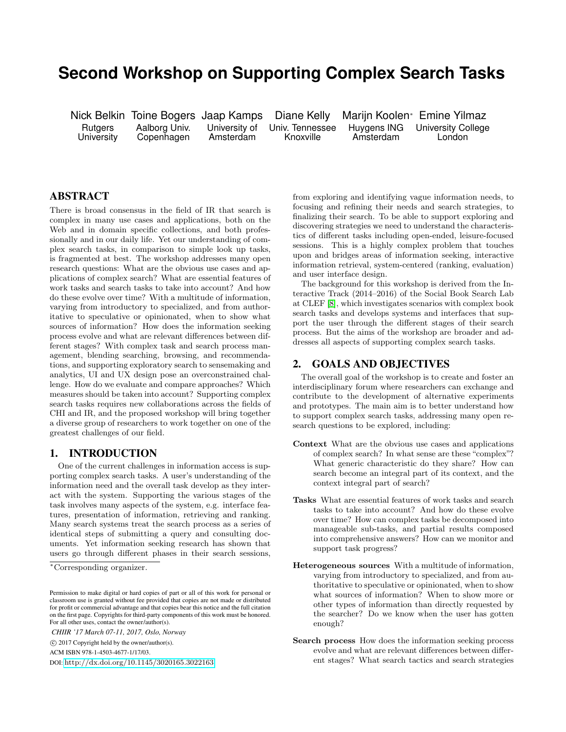# **Second Workshop on Supporting Complex Search Tasks**

Copenhagen

Nick Belkin Toine Bogers Jaap Kamps Diane Kelly Marijn Koolen<sup>∗</sup> Emine Yilmaz Rutgers Aalborg Univ. University of Univ. Tennessee Huygens ING University College<br>
University Copenhagen Amsterdam Knoxville Amsterdam London

## ABSTRACT

There is broad consensus in the field of IR that search is complex in many use cases and applications, both on the Web and in domain specific collections, and both professionally and in our daily life. Yet our understanding of complex search tasks, in comparison to simple look up tasks, is fragmented at best. The workshop addresses many open research questions: What are the obvious use cases and applications of complex search? What are essential features of work tasks and search tasks to take into account? And how do these evolve over time? With a multitude of information, varying from introductory to specialized, and from authoritative to speculative or opinionated, when to show what sources of information? How does the information seeking process evolve and what are relevant differences between different stages? With complex task and search process management, blending searching, browsing, and recommendations, and supporting exploratory search to sensemaking and analytics, UI and UX design pose an overconstrained challenge. How do we evaluate and compare approaches? Which measures should be taken into account? Supporting complex search tasks requires new collaborations across the fields of CHI and IR, and the proposed workshop will bring together a diverse group of researchers to work together on one of the greatest challenges of our field.

#### 1. INTRODUCTION

One of the current challenges in information access is supporting complex search tasks. A user's understanding of the information need and the overall task develop as they interact with the system. Supporting the various stages of the task involves many aspects of the system, e.g. interface features, presentation of information, retrieving and ranking. Many search systems treat the search process as a series of identical steps of submitting a query and consulting documents. Yet information seeking research has shown that users go through different phases in their search sessions,

*CHIIR '17 March 07-11, 2017, Oslo, Norway*

ACM ISBN 978-1-4503-4677-1/17/03.

DOI: <http://dx.doi.org/10.1145/3020165.3022163>

from exploring and identifying vague information needs, to focusing and refining their needs and search strategies, to finalizing their search. To be able to support exploring and discovering strategies we need to understand the characteristics of different tasks including open-ended, leisure-focused sessions. This is a highly complex problem that touches upon and bridges areas of information seeking, interactive information retrieval, system-centered (ranking, evaluation) and user interface design.

The background for this workshop is derived from the Interactive Track (2014–2016) of the Social Book Search Lab at CLEF [\[8\]](#page-2-0), which investigates scenarios with complex book search tasks and develops systems and interfaces that support the user through the different stages of their search process. But the aims of the workshop are broader and addresses all aspects of supporting complex search tasks.

### <span id="page-0-0"></span>2. GOALS AND OBJECTIVES

The overall goal of the workshop is to create and foster an interdisciplinary forum where researchers can exchange and contribute to the development of alternative experiments and prototypes. The main aim is to better understand how to support complex search tasks, addressing many open research questions to be explored, including:

- Context What are the obvious use cases and applications of complex search? In what sense are these "complex"? What generic characteristic do they share? How can search become an integral part of its context, and the context integral part of search?
- Tasks What are essential features of work tasks and search tasks to take into account? And how do these evolve over time? How can complex tasks be decomposed into manageable sub-tasks, and partial results composed into comprehensive answers? How can we monitor and support task progress?
- Heterogeneous sources With a multitude of information, varying from introductory to specialized, and from authoritative to speculative or opinionated, when to show what sources of information? When to show more or other types of information than directly requested by the searcher? Do we know when the user has gotten enough?
- Search process How does the information seeking process evolve and what are relevant differences between different stages? What search tactics and search strategies

<sup>∗</sup>Corresponding organizer.

Permission to make digital or hard copies of part or all of this work for personal or classroom use is granted without fee provided that copies are not made or distributed for profit or commercial advantage and that copies bear this notice and the full citation on the first page. Copyrights for third-party components of this work must be honored. For all other uses, contact the owner/author(s).

c 2017 Copyright held by the owner/author(s).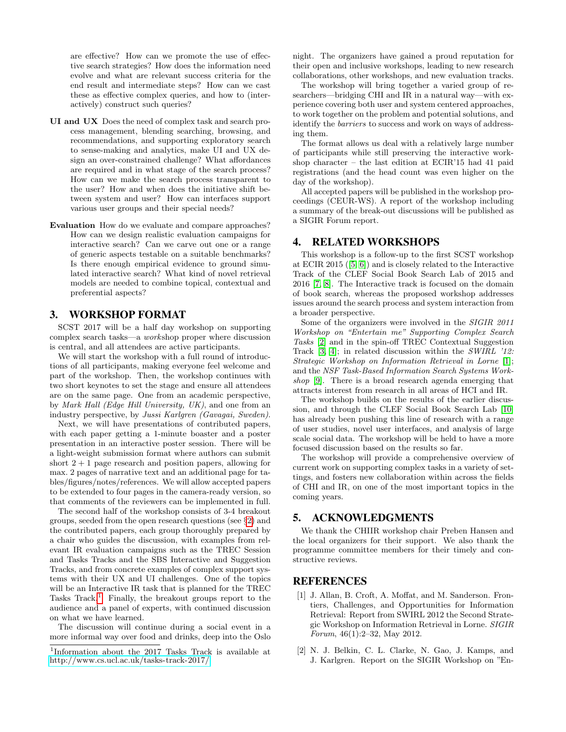are effective? How can we promote the use of effective search strategies? How does the information need evolve and what are relevant success criteria for the end result and intermediate steps? How can we cast these as effective complex queries, and how to (interactively) construct such queries?

- UI and UX Does the need of complex task and search process management, blending searching, browsing, and recommendations, and supporting exploratory search to sense-making and analytics, make UI and UX design an over-constrained challenge? What affordances are required and in what stage of the search process? How can we make the search process transparent to the user? How and when does the initiative shift between system and user? How can interfaces support various user groups and their special needs?
- Evaluation How do we evaluate and compare approaches? How can we design realistic evaluation campaigns for interactive search? Can we carve out one or a range of generic aspects testable on a suitable benchmarks? Is there enough empirical evidence to ground simulated interactive search? What kind of novel retrieval models are needed to combine topical, contextual and preferential aspects?

## 3. WORKSHOP FORMAT

SCST 2017 will be a half day workshop on supporting complex search tasks—a workshop proper where discussion is central, and all attendees are active participants.

We will start the workshop with a full round of introductions of all participants, making everyone feel welcome and part of the workshop. Then, the workshop continues with two short keynotes to set the stage and ensure all attendees are on the same page. One from an academic perspective, by Mark Hall (Edge Hill University, UK), and one from an industry perspective, by Jussi Karlgren (Gavagai, Sweden).

Next, we will have presentations of contributed papers, with each paper getting a 1-minute boaster and a poster presentation in an interactive poster session. There will be a light-weight submission format where authors can submit short  $2 + 1$  page research and position papers, allowing for max. 2 pages of narrative text and an additional page for tables/figures/notes/references. We will allow accepted papers to be extended to four pages in the camera-ready version, so that comments of the reviewers can be implemented in full.

The second half of the workshop consists of 3-4 breakout groups, seeded from the open research questions (see §[2\)](#page-0-0) and the contributed papers, each group thoroughly prepared by a chair who guides the discussion, with examples from relevant IR evaluation campaigns such as the TREC Session and Tasks Tracks and the SBS Interactive and Suggestion Tracks, and from concrete examples of complex support systems with their UX and UI challenges. One of the topics will be an Interactive IR task that is planned for the TREC Tasks Track.<sup>[1](#page-1-0)</sup> Finally, the breakout groups report to the audience and a panel of experts, with continued discussion on what we have learned.

The discussion will continue during a social event in a more informal way over food and drinks, deep into the Oslo night. The organizers have gained a proud reputation for their open and inclusive workshops, leading to new research collaborations, other workshops, and new evaluation tracks.

The workshop will bring together a varied group of researchers—bridging CHI and IR in a natural way—with experience covering both user and system centered approaches, to work together on the problem and potential solutions, and identify the *barriers* to success and work on ways of addressing them.

The format allows us deal with a relatively large number of participants while still preserving the interactive workshop character – the last edition at ECIR'15 had 41 paid registrations (and the head count was even higher on the day of the workshop).

All accepted papers will be published in the workshop proceedings (CEUR-WS). A report of the workshop including a summary of the break-out discussions will be published as a SIGIR Forum report.

#### 4. RELATED WORKSHOPS

This workshop is a follow-up to the first SCST workshop at ECIR 2015 ([\[5,](#page-2-1) [6\]](#page-2-2)) and is closely related to the Interactive Track of the CLEF Social Book Search Lab of 2015 and 2016 [\[7,](#page-2-3) [8\]](#page-2-0). The Interactive track is focused on the domain of book search, whereas the proposed workshop addresses issues around the search process and system interaction from a broader perspective.

Some of the organizers were involved in the SIGIR 2011 Workshop on "Entertain me" Supporting Complex Search Tasks [\[2\]](#page-1-1) and in the spin-off TREC Contextual Suggestion Track [\[3,](#page-2-4) [4\]](#page-2-5); in related discussion within the SWIRL '12: Strategic Workshop on Information Retrieval in Lorne [\[1\]](#page-1-2); and the NSF Task-Based Information Search Systems Workshop [\[9\]](#page-2-6). There is a broad research agenda emerging that attracts interest from research in all areas of HCI and IR.

The workshop builds on the results of the earlier discussion, and through the CLEF Social Book Search Lab [\[10\]](#page-2-7) has already been pushing this line of research with a range of user studies, novel user interfaces, and analysis of large scale social data. The workshop will be held to have a more focused discussion based on the results so far.

The workshop will provide a comprehensive overview of current work on supporting complex tasks in a variety of settings, and fosters new collaboration within across the fields of CHI and IR, on one of the most important topics in the coming years.

## 5. ACKNOWLEDGMENTS

We thank the CHIIR workshop chair Preben Hansen and the local organizers for their support. We also thank the programme committee members for their timely and constructive reviews.

#### REFERENCES

- <span id="page-1-2"></span>[1] J. Allan, B. Croft, A. Moffat, and M. Sanderson. Frontiers, Challenges, and Opportunities for Information Retrieval: Report from SWIRL 2012 the Second Strategic Workshop on Information Retrieval in Lorne. SIGIR Forum, 46(1):2–32, May 2012.
- <span id="page-1-1"></span>[2] N. J. Belkin, C. L. Clarke, N. Gao, J. Kamps, and J. Karlgren. Report on the SIGIR Workshop on "En-

<span id="page-1-0"></span><sup>1</sup> Information about the 2017 Tasks Track is available at <http://www.cs.ucl.ac.uk/tasks-track-2017/>